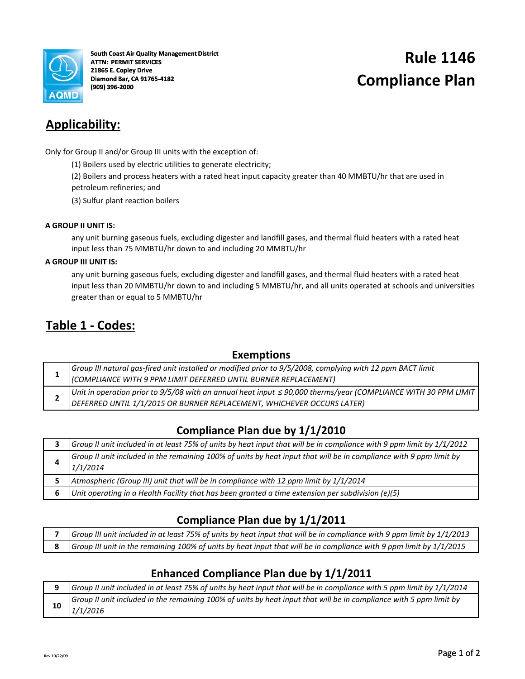

**Rule 1146 South Coast Air Quality Management District ATTN: PERMIT SERVICES 21865 E. Copley Drive Diamond Bar, CA 91765‐4182 (909) 396‐2000**

# **Compliance Plan**

# **Applicability:**

Only for Group II and/or Group III units with the exception of:

(1) Boilers used by electric utilities to generate electricity;

(2) Boilers and process heaters with a rated heat input capacity greater than 40 MMBTU/hr that are used in petroleum refineries; and

(3) Sulfur plant reaction boilers

#### **A GROUP II UNIT IS:**

any unit burning gaseous fuels, excluding digester and landfill gases, and thermal fluid heaters with a rated heat input less than 75 MMBTU/hr down to and including 20 MMBTU/hr

#### **A GROUP III UNIT IS:**

any unit burning gaseous fuels, excluding digester and landfill gases, and thermal fluid heaters with a rated heat input less than 20 MMBTU/hr down to and including 5 MMBTU/hr, and all units operated at schools and universities greater than or equal to 5 MMBTU/hr

## **Table 1 ‐ Codes:**

### **Exemptions**

|  | Group III natural gas-fired unit installed or modified prior to 9/5/2008, complying with 12 ppm BACT limit (COMPLIANCE WITH 9 PPM LIMIT DEFERRED UNTIL BURNER REPLACEMENT)                 |
|--|--------------------------------------------------------------------------------------------------------------------------------------------------------------------------------------------|
|  | Unit in operation prior to 9/5/08 with an annual heat input $\leq$ 90,000 therms/year (COMPLIANCE WITH 30 PPM LIMIT DEFERRED UNTIL 1/1/2015 OR BURNER REPLACEMENT, WHICHEVER OCCURS LATER) |
|  |                                                                                                                                                                                            |

## **Compliance Plan due by 1/1/2010**

| Group II unit included in at least 75% of units by heat input that will be in compliance with 9 ppm limit by 1/1/2012          |  |  |  |  |  |  |
|--------------------------------------------------------------------------------------------------------------------------------|--|--|--|--|--|--|
| Group II unit included in the remaining 100% of units by heat input that will be in compliance with 9 ppm limit by<br>1/1/2014 |  |  |  |  |  |  |
| Atmospheric (Group III) unit that will be in compliance with 12 ppm limit by 1/1/2014                                          |  |  |  |  |  |  |
| Unit operating in a Health Facility that has been granted a time extension per subdivision (e)(5)                              |  |  |  |  |  |  |

## **Compliance Plan due by 1/1/2011**

| Group III unit included in at least 75% of units by heat input that will be in compliance with 9 ppm limit by 1/1/2013 |
|------------------------------------------------------------------------------------------------------------------------|
| 8 Group III unit in the remaining 100% of units by heat input that will be in compliance with 9 ppm limit by 1/1/2015  |

## **Enhanced Compliance Plan due by 1/1/2011**

| Group II unit included in at least 75% of units by heat input that will be in compliance with 5 ppm limit by 1/1/2014          |
|--------------------------------------------------------------------------------------------------------------------------------|
| Group II unit included in the remaining 100% of units by heat input that will be in compliance with 5 ppm limit by<br>1/1/2016 |